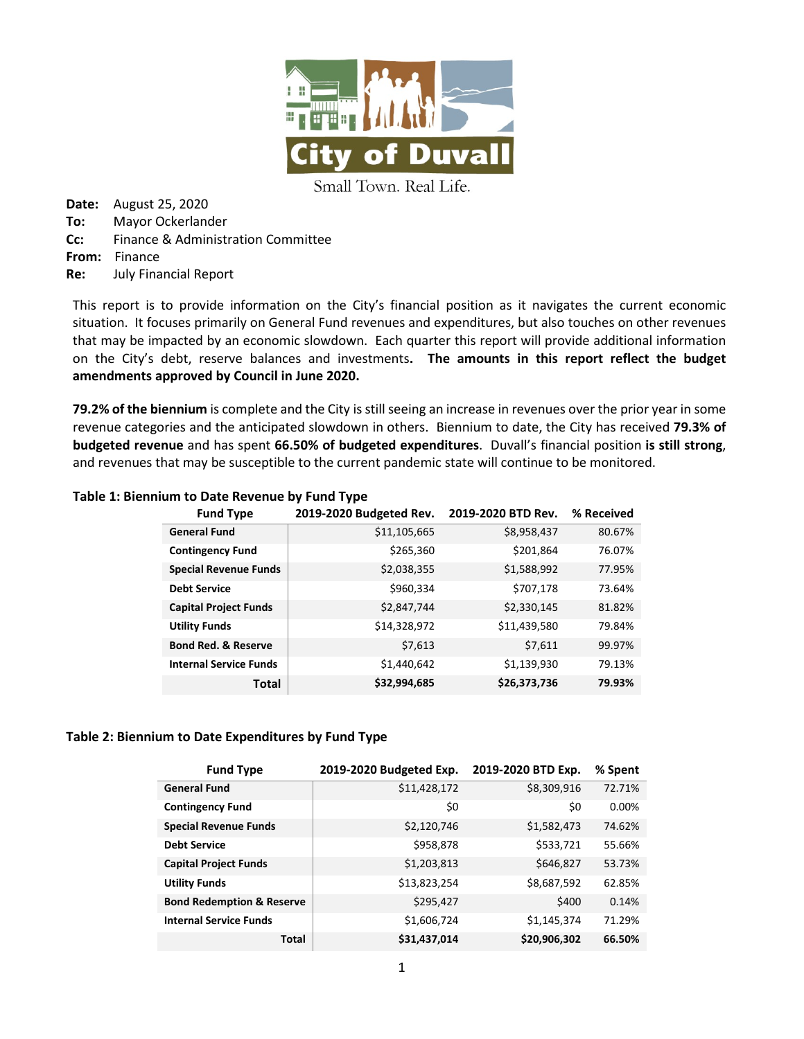

Small Town. Real Life.

**Date:** August 25, 2020 **To:** Mayor Ockerlander **Cc:** Finance & Administration Committee **From:** Finance **Re:** July Financial Report

This report is to provide information on the City's financial position as it navigates the current economic situation. It focuses primarily on General Fund revenues and expenditures, but also touches on other revenues that may be impacted by an economic slowdown. Each quarter this report will provide additional information on the City's debt, reserve balances and investments**. The amounts in this report reflect the budget amendments approved by Council in June 2020.**

**79.2% of the biennium** is complete and the City is still seeing an increase in revenues over the prior year in some revenue categories and the anticipated slowdown in others. Biennium to date, the City has received **79.3% of budgeted revenue** and has spent **66.50% of budgeted expenditures**. Duvall's financial position **is still strong**, and revenues that may be susceptible to the current pandemic state will continue to be monitored.

#### **Table 1: Biennium to Date Revenue by Fund Type**

| <b>Fund Type</b>               | 2019-2020 Budgeted Rev. | 2019-2020 BTD Rev. | % Received |
|--------------------------------|-------------------------|--------------------|------------|
| <b>General Fund</b>            | \$11,105,665            | \$8,958,437        | 80.67%     |
| <b>Contingency Fund</b>        | \$265,360               | \$201,864          | 76.07%     |
| <b>Special Revenue Funds</b>   | \$2,038,355             | \$1,588,992        | 77.95%     |
| <b>Debt Service</b>            | \$960,334               | \$707,178          | 73.64%     |
| <b>Capital Project Funds</b>   | \$2,847,744             | \$2,330,145        | 81.82%     |
| <b>Utility Funds</b>           | \$14,328,972            | \$11,439,580       | 79.84%     |
| <b>Bond Red. &amp; Reserve</b> | \$7,613                 | \$7,611            | 99.97%     |
| <b>Internal Service Funds</b>  | \$1,440,642             | \$1,139,930        | 79.13%     |
| Total                          | \$32,994,685            | \$26,373,736       | 79.93%     |

#### **Table 2: Biennium to Date Expenditures by Fund Type**

| <b>Fund Type</b>                     | 2019-2020 Budgeted Exp. | 2019-2020 BTD Exp. | % Spent |
|--------------------------------------|-------------------------|--------------------|---------|
| <b>General Fund</b>                  | \$11,428,172            | \$8,309,916        | 72.71%  |
| <b>Contingency Fund</b>              | \$0                     | \$0                | 0.00%   |
| <b>Special Revenue Funds</b>         | \$2,120,746             | \$1,582,473        | 74.62%  |
| <b>Debt Service</b>                  | \$958,878               | \$533,721          | 55.66%  |
| <b>Capital Project Funds</b>         | \$1,203,813             | \$646,827          | 53.73%  |
| <b>Utility Funds</b>                 | \$13,823,254            | \$8,687,592        | 62.85%  |
| <b>Bond Redemption &amp; Reserve</b> | \$295,427               | \$400              | 0.14%   |
| <b>Internal Service Funds</b>        | \$1,606,724             | \$1,145,374        | 71.29%  |
| <b>Total</b>                         | \$31,437,014            | \$20,906,302       | 66.50%  |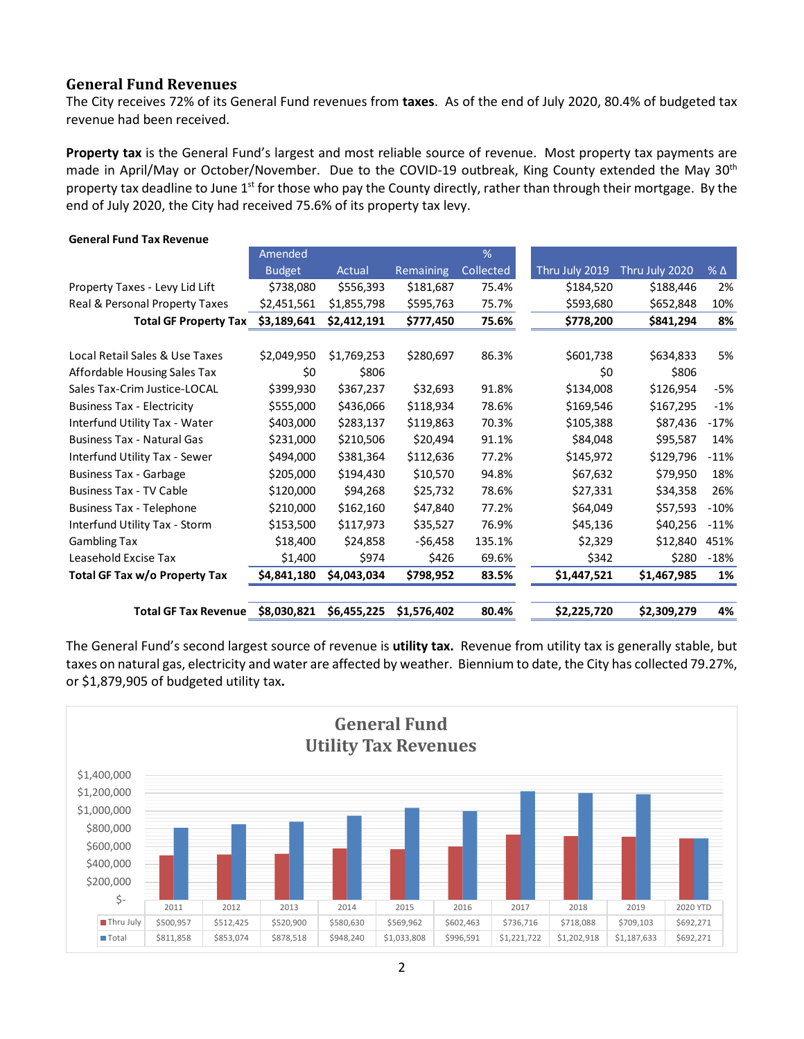### **General Fund Revenues**

The City receives 72% of its General Fund revenues from **taxes**. As of the end of July 2020, 80.4% of budgeted tax revenue had been received.

**Property tax** is the General Fund's largest and most reliable source of revenue. Most property tax payments are made in April/May or October/November. Due to the COVID-19 outbreak, King County extended the May 30<sup>th</sup> property tax deadline to June 1<sup>st</sup> for those who pay the County directly, rather than through their mortgage. By the end of July 2020, the City had received 75.6% of its property tax levy.

| <b>General Fund Tax Revenue</b>   |               |             |             |           |                |                |              |
|-----------------------------------|---------------|-------------|-------------|-----------|----------------|----------------|--------------|
|                                   | Amended       |             |             | %         |                |                |              |
|                                   | <b>Budget</b> | Actual      | Remaining   | Collected | Thru July 2019 | Thru July 2020 | $%$ $\Delta$ |
| Property Taxes - Levy Lid Lift    | \$738,080     | \$556,393   | \$181,687   | 75.4%     | \$184,520      | \$188,446      | 2%           |
| Real & Personal Property Taxes    | \$2,451,561   | \$1,855,798 | \$595,763   | 75.7%     | \$593,680      | \$652,848      | 10%          |
| <b>Total GF Property Tax</b>      | \$3,189,641   | \$2,412,191 | \$777,450   | 75.6%     | \$778,200      | \$841,294      | 8%           |
|                                   |               |             |             |           |                |                |              |
| Local Retail Sales & Use Taxes    | \$2,049,950   | \$1,769,253 | \$280,697   | 86.3%     | \$601,738      | \$634,833      | 5%           |
| Affordable Housing Sales Tax      | \$0           | \$806       |             |           | \$0            | \$806          |              |
| Sales Tax-Crim Justice-LOCAL      | \$399,930     | \$367,237   | \$32,693    | 91.8%     | \$134,008      | \$126,954      | $-5%$        |
| <b>Business Tax - Electricity</b> | \$555,000     | \$436,066   | \$118,934   | 78.6%     | \$169,546      | \$167,295      | $-1%$        |
| Interfund Utility Tax - Water     | \$403,000     | \$283,137   | \$119,863   | 70.3%     | \$105,388      | \$87,436       | $-17%$       |
| <b>Business Tax - Natural Gas</b> | \$231,000     | \$210,506   | \$20,494    | 91.1%     | \$84,048       | \$95,587       | 14%          |
| Interfund Utility Tax - Sewer     | \$494,000     | \$381,364   | \$112,636   | 77.2%     | \$145,972      | \$129,796      | $-11%$       |
| <b>Business Tax - Garbage</b>     | \$205,000     | \$194,430   | \$10,570    | 94.8%     | \$67,632       | \$79,950       | 18%          |
| <b>Business Tax - TV Cable</b>    | \$120,000     | \$94,268    | \$25,732    | 78.6%     | \$27,331       | \$34,358       | 26%          |
| <b>Business Tax - Telephone</b>   | \$210,000     | \$162,160   | \$47,840    | 77.2%     | \$64,049       | \$57,593       | $-10%$       |
| Interfund Utility Tax - Storm     | \$153,500     | \$117,973   | \$35,527    | 76.9%     | \$45,136       | \$40,256       | $-11%$       |
| <b>Gambling Tax</b>               | \$18,400      | \$24,858    | -\$6,458    | 135.1%    | \$2,329        | \$12,840       | 451%         |
| Leasehold Excise Tax              | \$1,400       | \$974       | \$426       | 69.6%     | \$342          | \$280          | $-18%$       |
| Total GF Tax w/o Property Tax     | \$4,841,180   | \$4,043,034 | \$798,952   | 83.5%     | \$1,447,521    | \$1,467,985    | 1%           |
| <b>Total GF Tax Revenue</b>       | \$8,030,821   | \$6,455,225 | \$1,576,402 | 80.4%     | \$2,225,720    | \$2,309,279    | 4%           |

The General Fund's second largest source of revenue is **utility tax.** Revenue from utility tax is generally stable, but taxes on natural gas, electricity and water are affected by weather. Biennium to date, the City has collected 79.27%, or \$1,879,905 of budgeted utility tax**.**

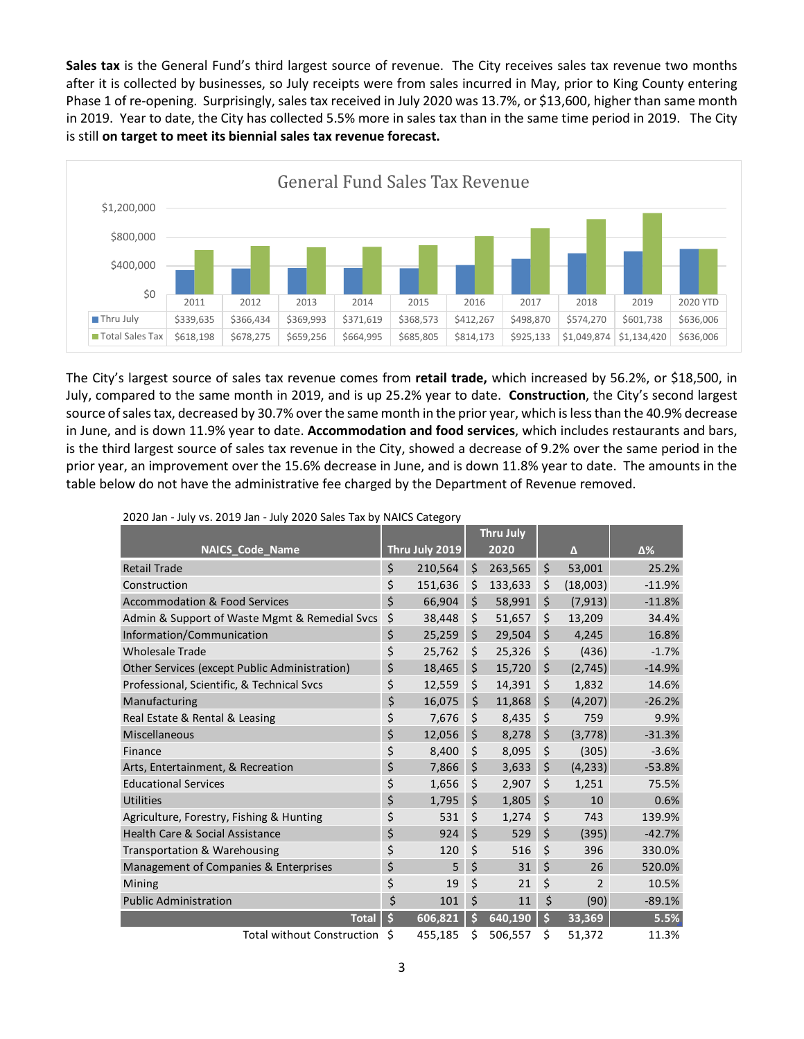**Sales tax** is the General Fund's third largest source of revenue. The City receives sales tax revenue two months after it is collected by businesses, so July receipts were from sales incurred in May, prior to King County entering Phase 1 of re-opening. Surprisingly, sales tax received in July 2020 was 13.7%, or \$13,600, higher than same month in 2019. Year to date, the City has collected 5.5% more in sales tax than in the same time period in 2019. The City is still **on target to meet its biennial sales tax revenue forecast.**



The City's largest source of sales tax revenue comes from **retail trade,** which increased by 56.2%, or \$18,500, in July, compared to the same month in 2019, and is up 25.2% year to date. **Construction**, the City's second largest source of sales tax, decreased by 30.7% over the same month in the prior year, which is less than the 40.9% decrease in June, and is down 11.9% year to date. **Accommodation and food services**, which includes restaurants and bars, is the third largest source of sales tax revenue in the City, showed a decrease of 9.2% over the same period in the prior year, an improvement over the 15.6% decrease in June, and is down 11.8% year to date. The amounts in the table below do not have the administrative fee charged by the Department of Revenue removed.

| 2020 Jan - July vs. 2019 Jan - July 2020 Sales Tax by NAICS Category |  |  |  |
|----------------------------------------------------------------------|--|--|--|
|                                                                      |  |  |  |

|                                               |                |                    | <b>Thru July</b> |    |          |          |
|-----------------------------------------------|----------------|--------------------|------------------|----|----------|----------|
| NAICS_Code_Name                               | Thru July 2019 |                    | 2020             |    | Δ        | Δ%       |
| <b>Retail Trade</b>                           | \$<br>210,564  | \$                 | 263,565          | \$ | 53,001   | 25.2%    |
| Construction                                  | \$<br>151,636  | \$                 | 133,633          | \$ | (18,003) | $-11.9%$ |
| <b>Accommodation &amp; Food Services</b>      | \$<br>66,904   | \$                 | 58,991           | \$ | (7, 913) | $-11.8%$ |
| Admin & Support of Waste Mgmt & Remedial Svcs | \$<br>38.448   | Ś.                 | 51,657           | \$ | 13.209   | 34.4%    |
| Information/Communication                     | \$<br>25,259   | \$                 | 29,504           | \$ | 4,245    | 16.8%    |
| <b>Wholesale Trade</b>                        | \$<br>25,762   | \$                 | 25,326           | \$ | (436)    | $-1.7%$  |
| Other Services (except Public Administration) | \$<br>18,465   | \$                 | 15,720           | \$ | (2,745)  | $-14.9%$ |
| Professional, Scientific, & Technical Svcs    | \$<br>12,559   | \$                 | 14,391           | \$ | 1,832    | 14.6%    |
| Manufacturing                                 | \$<br>16,075   | \$                 | 11,868           | \$ | (4,207)  | $-26.2%$ |
| Real Estate & Rental & Leasing                | \$<br>7,676    | \$                 | 8,435            | \$ | 759      | 9.9%     |
| <b>Miscellaneous</b>                          | \$<br>12,056   | \$                 | 8,278            | \$ | (3,778)  | $-31.3%$ |
| Finance                                       | \$<br>8,400    | \$                 | 8,095            | \$ | (305)    | $-3.6%$  |
| Arts, Entertainment, & Recreation             | \$<br>7,866    | \$                 | 3,633            | \$ | (4, 233) | $-53.8%$ |
| <b>Educational Services</b>                   | \$<br>1,656    | \$                 | 2,907            | \$ | 1,251    | 75.5%    |
| <b>Utilities</b>                              | \$<br>1,795    | \$                 | 1,805            | \$ | 10       | 0.6%     |
| Agriculture, Forestry, Fishing & Hunting      | \$<br>531      | \$                 | 1,274            | \$ | 743      | 139.9%   |
| Health Care & Social Assistance               | \$<br>924      | $\zeta$            | 529              | \$ | (395)    | $-42.7%$ |
| Transportation & Warehousing                  | \$<br>120      | \$                 | 516              | \$ | 396      | 330.0%   |
| Management of Companies & Enterprises         | \$<br>5        | \$                 | 31               | Ś. | 26       | 520.0%   |
| Mining                                        | \$<br>19       | \$                 | 21               | \$ | 2        | 10.5%    |
| <b>Public Administration</b>                  | \$<br>101      | \$                 | 11               | \$ | (90)     | $-89.1%$ |
| <b>Total</b>                                  | \$<br>606,821  | $\dot{\mathsf{s}}$ | 640,190          | \$ | 33,369   | 5.5%     |
| Total without Construction \$                 | 455,185        | \$                 | 506,557          | \$ | 51,372   | 11.3%    |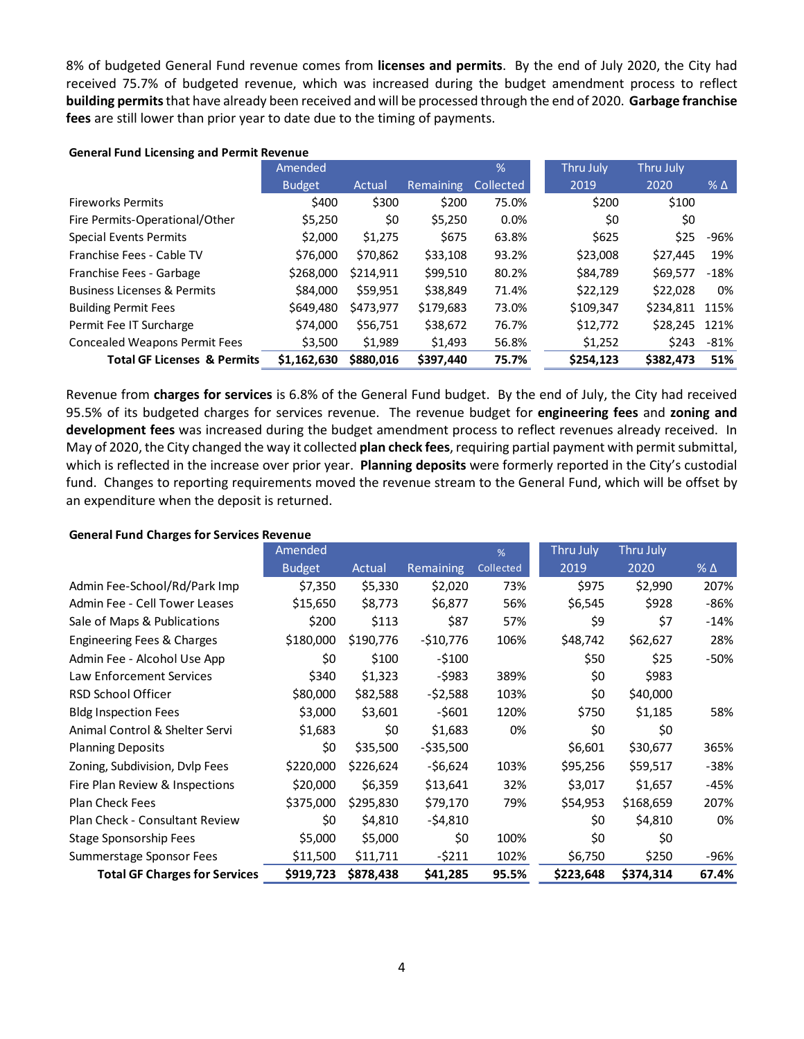8% of budgeted General Fund revenue comes from **licenses and permits**. By the end of July 2020, the City had received 75.7% of budgeted revenue, which was increased during the budget amendment process to reflect **building permits**that have already been received and will be processed through the end of 2020. **Garbage franchise fees** are still lower than prior year to date due to the timing of payments.

|                                        | Amended       |           |                  | %         | Thru July | Thru July |                 |
|----------------------------------------|---------------|-----------|------------------|-----------|-----------|-----------|-----------------|
|                                        | <b>Budget</b> | Actual    | <b>Remaining</b> | Collected | 2019      | 2020      | $%$ $\triangle$ |
| <b>Fireworks Permits</b>               | \$400         | \$300     | \$200            | 75.0%     | \$200     | \$100     |                 |
| Fire Permits-Operational/Other         | \$5,250       | \$0       | \$5,250          | 0.0%      | \$0       | \$0       |                 |
| <b>Special Events Permits</b>          | \$2,000       | \$1,275   | \$675            | 63.8%     | \$625     | \$25      | -96%            |
| Franchise Fees - Cable TV              | \$76,000      | \$70,862  | \$33,108         | 93.2%     | \$23,008  | \$27,445  | 19%             |
| Franchise Fees - Garbage               | \$268,000     | \$214.911 | \$99,510         | 80.2%     | \$84,789  | \$69,577  | $-18%$          |
| <b>Business Licenses &amp; Permits</b> | \$84,000      | \$59,951  | \$38,849         | 71.4%     | \$22,129  | \$22,028  | 0%              |
| <b>Building Permit Fees</b>            | \$649,480     | \$473,977 | \$179,683        | 73.0%     | \$109,347 | \$234,811 | 115%            |
| Permit Fee IT Surcharge                | \$74,000      | \$56,751  | \$38,672         | 76.7%     | \$12,772  | \$28,245  | 121%            |
| <b>Concealed Weapons Permit Fees</b>   | \$3,500       | \$1,989   | \$1,493          | 56.8%     | \$1,252   | \$243     | $-81%$          |
| <b>Total GF Licenses &amp; Permits</b> | \$1,162,630   | \$880,016 | \$397,440        | 75.7%     | \$254,123 | \$382,473 | 51%             |

Revenue from **charges for services** is 6.8% of the General Fund budget. By the end of July, the City had received 95.5% of its budgeted charges for services revenue. The revenue budget for **engineering fees** and **zoning and development fees** was increased during the budget amendment process to reflect revenues already received. In May of 2020, the City changed the way it collected **plan check fees**, requiring partial payment with permit submittal, which is reflected in the increase over prior year. **Planning deposits** were formerly reported in the City's custodial fund. Changes to reporting requirements moved the revenue stream to the General Fund, which will be offset by an expenditure when the deposit is returned.

#### **General Fund Charges for Services Revenue**

|                                      | Amended       |           |              | %         | Thru July | Thru July |                 |
|--------------------------------------|---------------|-----------|--------------|-----------|-----------|-----------|-----------------|
|                                      | <b>Budget</b> | Actual    | Remaining    | Collected | 2019      | 2020      | $%$ $\triangle$ |
| Admin Fee-School/Rd/Park Imp         | \$7,350       | \$5,330   | \$2,020      | 73%       | \$975     | \$2,990   | 207%            |
| Admin Fee - Cell Tower Leases        | \$15,650      | \$8,773   | \$6,877      | 56%       | \$6,545   | \$928     | -86%            |
| Sale of Maps & Publications          | \$200         | \$113     | \$87         | 57%       | \$9       | \$7       | $-14%$          |
| Engineering Fees & Charges           | \$180,000     | \$190,776 | $-$10,776$   | 106%      | \$48,742  | \$62,627  | 28%             |
| Admin Fee - Alcohol Use App          | \$0           | \$100     | $-5100$      |           | \$50      | \$25      | -50%            |
| Law Enforcement Services             | \$340         | \$1,323   | $-5983$      | 389%      | \$0       | \$983     |                 |
| RSD School Officer                   | \$80,000      | \$82,588  | $-52,588$    | 103%      | \$0       | \$40,000  |                 |
| <b>Bldg Inspection Fees</b>          | \$3,000       | \$3,601   | $-5601$      | 120%      | \$750     | \$1,185   | 58%             |
| Animal Control & Shelter Servi       | \$1,683       | \$0       | \$1,683      | 0%        | \$0       | \$0       |                 |
| <b>Planning Deposits</b>             | \$0           | \$35,500  | $-$ \$35,500 |           | \$6,601   | \$30,677  | 365%            |
| Zoning, Subdivision, Dvlp Fees       | \$220,000     | \$226,624 | -\$6,624     | 103%      | \$95,256  | \$59,517  | -38%            |
| Fire Plan Review & Inspections       | \$20,000      | \$6,359   | \$13,641     | 32%       | \$3,017   | \$1,657   | -45%            |
| <b>Plan Check Fees</b>               | \$375,000     | \$295,830 | \$79,170     | 79%       | \$54,953  | \$168,659 | 207%            |
| Plan Check - Consultant Review       | \$0           | \$4,810   | $-54,810$    |           | \$0       | \$4,810   | 0%              |
| Stage Sponsorship Fees               | \$5,000       | \$5,000   | \$0          | 100%      | \$0       | \$0       |                 |
| Summerstage Sponsor Fees             | \$11,500      | \$11,711  | $-5211$      | 102%      | \$6,750   | \$250     | -96%            |
| <b>Total GF Charges for Services</b> | \$919,723     | \$878,438 | \$41,285     | 95.5%     | \$223,648 | \$374,314 | 67.4%           |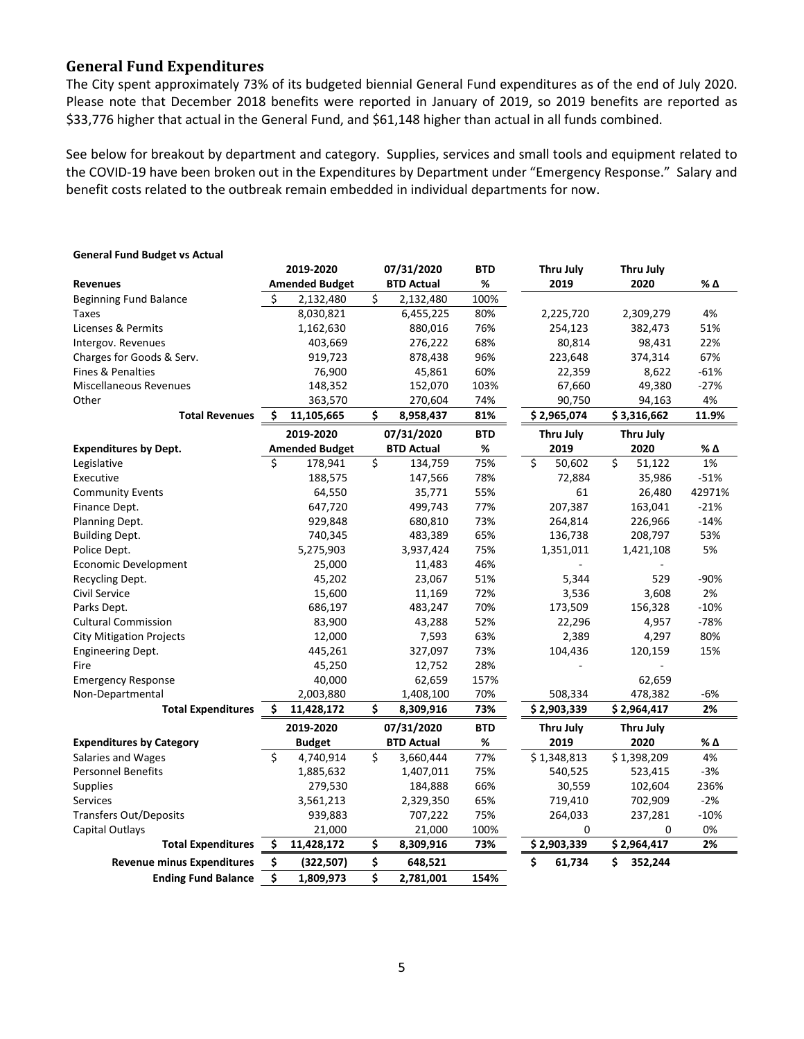#### **General Fund Expenditures**

The City spent approximately 73% of its budgeted biennial General Fund expenditures as of the end of July 2020. Please note that December 2018 benefits were reported in January of 2019, so 2019 benefits are reported as \$33,776 higher that actual in the General Fund, and \$61,148 higher than actual in all funds combined.

See below for breakout by department and category. Supplies, services and small tools and equipment related to the COVID-19 have been broken out in the Expenditures by Department under "Emergency Response." Salary and benefit costs related to the outbreak remain embedded in individual departments for now.

|                                   | 2019-2020 |                       |                          | 07/31/2020<br><b>BTD</b> |            | Thru July    | Thru July     |        |
|-----------------------------------|-----------|-----------------------|--------------------------|--------------------------|------------|--------------|---------------|--------|
| <b>Revenues</b>                   |           | <b>Amended Budget</b> |                          | <b>BTD Actual</b>        | %          | 2019         | 2020          | % Δ    |
| <b>Beginning Fund Balance</b>     | \$        | 2,132,480             | \$                       | 2,132,480                | 100%       |              |               |        |
| Taxes                             |           | 8,030,821             |                          | 6,455,225                | 80%        | 2,225,720    | 2,309,279     | 4%     |
| Licenses & Permits                |           | 1,162,630             |                          | 880,016                  | 76%        | 254,123      | 382,473       | 51%    |
| Intergov. Revenues                |           | 403,669               |                          | 276,222                  | 68%        | 80,814       | 98,431        | 22%    |
| Charges for Goods & Serv.         |           | 919,723               |                          | 878,438                  | 96%        | 223,648      | 374,314       | 67%    |
| Fines & Penalties                 |           | 76,900                |                          | 45,861                   | 60%        | 22,359       | 8,622         | $-61%$ |
| <b>Miscellaneous Revenues</b>     |           | 148,352               |                          | 152,070                  | 103%       | 67,660       | 49,380        | $-27%$ |
| Other                             |           | 363,570               |                          | 270,604                  | 74%        | 90,750       | 94,163        | 4%     |
| <b>Total Revenues</b>             | \$        | 11,105,665            | \$                       | 8,958,437                | 81%        | \$2,965,074  | \$3,316,662   | 11.9%  |
|                                   |           | 2019-2020             |                          | 07/31/2020               | <b>BTD</b> | Thru July    | Thru July     |        |
| <b>Expenditures by Dept.</b>      |           | <b>Amended Budget</b> |                          | <b>BTD Actual</b>        | %          | 2019         | 2020          | % Δ    |
| Legislative                       | \$        | 178,941               | $\overline{\mathcal{L}}$ | 134,759                  | 75%        | \$<br>50,602 | \$<br>51,122  | 1%     |
| Executive                         |           | 188,575               |                          | 147,566                  | 78%        | 72,884       | 35,986        | $-51%$ |
| <b>Community Events</b>           |           | 64,550                |                          | 35,771                   | 55%        | 61           | 26,480        | 42971% |
| Finance Dept.                     |           | 647,720               |                          | 499,743                  | 77%        | 207,387      | 163,041       | $-21%$ |
| Planning Dept.                    |           | 929,848               |                          | 680,810                  | 73%        | 264,814      | 226,966       | $-14%$ |
| <b>Building Dept.</b>             |           | 740,345               |                          | 483,389                  | 65%        | 136,738      | 208,797       | 53%    |
| Police Dept.                      |           | 5,275,903             |                          | 3,937,424                | 75%        | 1,351,011    | 1,421,108     | 5%     |
| Economic Development              |           | 25,000                |                          | 11,483                   | 46%        |              |               |        |
| Recycling Dept.                   |           | 45,202                |                          | 23,067                   | 51%        | 5,344        | 529           | -90%   |
| Civil Service                     |           | 15,600                |                          | 11,169                   | 72%        | 3,536        | 3,608         | 2%     |
| Parks Dept.                       |           | 686,197               |                          | 483,247                  | 70%        | 173,509      | 156,328       | $-10%$ |
| <b>Cultural Commission</b>        |           | 83,900                |                          | 43,288                   | 52%        | 22,296       | 4,957         | $-78%$ |
| <b>City Mitigation Projects</b>   |           | 12,000                |                          | 7,593                    | 63%        | 2,389        | 4,297         | 80%    |
| <b>Engineering Dept.</b>          |           | 445,261               |                          | 327,097                  | 73%        | 104,436      | 120,159       | 15%    |
| Fire                              |           | 45,250                |                          | 12,752                   | 28%        |              |               |        |
| <b>Emergency Response</b>         |           | 40,000                |                          | 62,659                   | 157%       |              | 62,659        |        |
| Non-Departmental                  |           | 2,003,880             |                          | 1,408,100                | 70%        | 508,334      | 478,382       | -6%    |
| <b>Total Expenditures</b>         | \$        | 11,428,172            | \$                       | 8,309,916                | 73%        | \$2,903,339  | \$2,964,417   | 2%     |
|                                   |           | 2019-2020             |                          | 07/31/2020               | <b>BTD</b> | Thru July    | Thru July     |        |
| <b>Expenditures by Category</b>   |           | <b>Budget</b>         |                          | <b>BTD Actual</b>        | %          | 2019         | 2020          | % Δ    |
| Salaries and Wages                | \$        | 4,740,914             | \$                       | 3,660,444                | 77%        | \$1,348,813  | \$1,398,209   | 4%     |
| <b>Personnel Benefits</b>         |           | 1,885,632             |                          | 1,407,011                | 75%        | 540,525      | 523,415       | $-3%$  |
| Supplies                          |           | 279,530               |                          | 184,888                  | 66%        | 30,559       | 102,604       | 236%   |
| <b>Services</b>                   |           | 3,561,213             |                          | 2,329,350                | 65%        | 719,410      | 702,909       | $-2%$  |
| <b>Transfers Out/Deposits</b>     |           | 939,883               |                          | 707,222                  | 75%        | 264,033      | 237,281       | $-10%$ |
| Capital Outlays                   |           | 21,000                |                          | 21,000                   | 100%       | 0            | 0             | 0%     |
| <b>Total Expenditures</b>         | \$        | 11,428,172            | \$                       | 8,309,916                | 73%        | \$2,903,339  | \$2,964,417   | 2%     |
| <b>Revenue minus Expenditures</b> | \$        | (322, 507)            | \$                       | 648,521                  |            | \$<br>61,734 | \$<br>352,244 |        |
| <b>Ending Fund Balance</b>        | \$        | 1,809,973             | \$                       | 2,781,001                | 154%       |              |               |        |

#### **General Fund Budget vs Actual**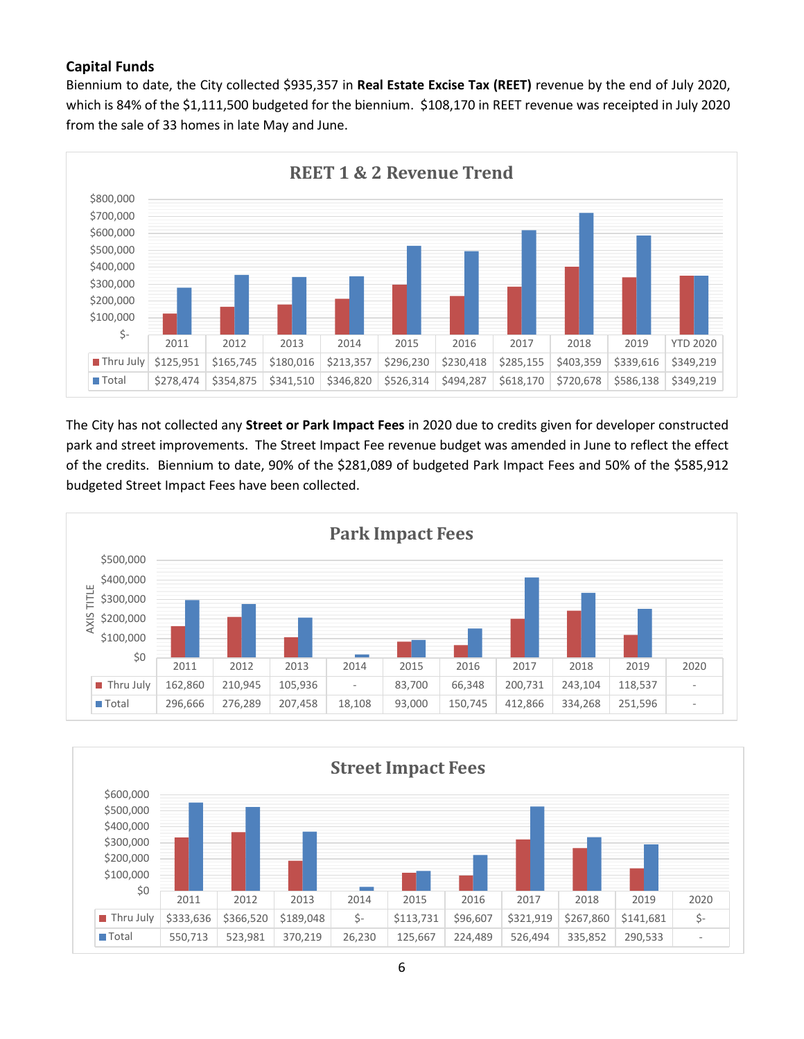## **Capital Funds**

Biennium to date, the City collected \$935,357 in **Real Estate Excise Tax (REET)** revenue by the end of July 2020, which is 84% of the \$1,111,500 budgeted for the biennium. \$108,170 in REET revenue was receipted in July 2020 from the sale of 33 homes in late May and June.



The City has not collected any **Street or Park Impact Fees** in 2020 due to credits given for developer constructed park and street improvements. The Street Impact Fee revenue budget was amended in June to reflect the effect of the credits. Biennium to date, 90% of the \$281,089 of budgeted Park Impact Fees and 50% of the \$585,912 budgeted Street Impact Fees have been collected.



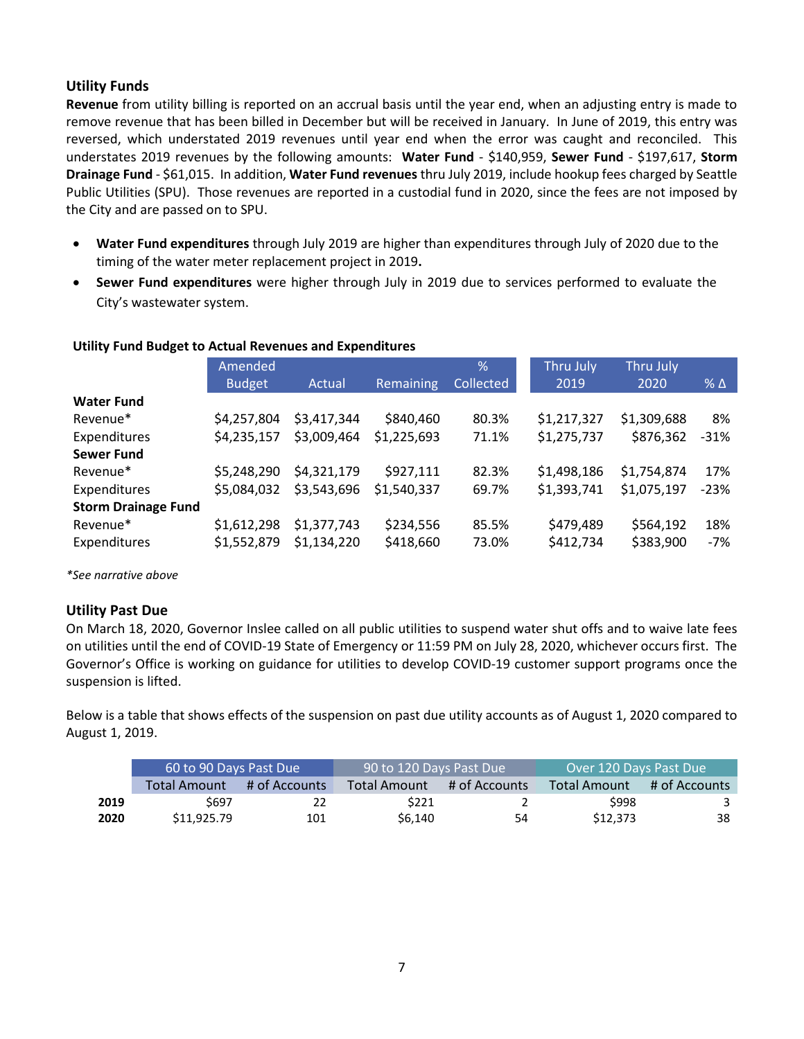### **Utility Funds**

**Revenue** from utility billing is reported on an accrual basis until the year end, when an adjusting entry is made to remove revenue that has been billed in December but will be received in January. In June of 2019, this entry was reversed, which understated 2019 revenues until year end when the error was caught and reconciled. This understates 2019 revenues by the following amounts: **Water Fund** - \$140,959, **Sewer Fund** - \$197,617, **Storm Drainage Fund** - \$61,015. In addition, **Water Fund revenues** thru July 2019, include hookup fees charged by Seattle Public Utilities (SPU). Those revenues are reported in a custodial fund in 2020, since the fees are not imposed by the City and are passed on to SPU.

- **Water Fund expenditures** through July 2019 are higher than expenditures through July of 2020 due to the timing of the water meter replacement project in 2019**.**
- **Sewer Fund expenditures** were higher through July in 2019 due to services performed to evaluate the City's wastewater system.

|                            | Amended       |             |             | %                | Thru July   | Thru July   |            |
|----------------------------|---------------|-------------|-------------|------------------|-------------|-------------|------------|
|                            | <b>Budget</b> | Actual      | Remaining   | <b>Collected</b> | 2019        | 2020        | % $\Delta$ |
| <b>Water Fund</b>          |               |             |             |                  |             |             |            |
| Revenue*                   | \$4,257,804   | \$3,417,344 | \$840,460   | 80.3%            | \$1,217,327 | \$1,309,688 | 8%         |
| Expenditures               | \$4,235,157   | \$3,009,464 | \$1,225,693 | 71.1%            | \$1,275,737 | \$876,362   | $-31%$     |
| <b>Sewer Fund</b>          |               |             |             |                  |             |             |            |
| Revenue*                   | \$5,248,290   | \$4,321,179 | \$927,111   | 82.3%            | \$1,498,186 | \$1,754,874 | 17%        |
| Expenditures               | \$5,084,032   | \$3,543,696 | \$1,540,337 | 69.7%            | \$1,393,741 | \$1,075,197 | $-23%$     |
| <b>Storm Drainage Fund</b> |               |             |             |                  |             |             |            |
| Revenue*                   | \$1,612,298   | \$1,377,743 | \$234,556   | 85.5%            | \$479,489   | \$564,192   | 18%        |
| Expenditures               | \$1,552,879   | \$1,134,220 | \$418,660   | 73.0%            | \$412,734   | \$383,900   | $-7%$      |

#### **Utility Fund Budget to Actual Revenues and Expenditures**

*\*See narrative above*

### **Utility Past Due**

On March 18, 2020, Governor Inslee called on all public utilities to suspend water shut offs and to waive late fees on utilities until the end of COVID-19 State of Emergency or 11:59 PM on July 28, 2020, whichever occurs first. The Governor's Office is working on guidance for utilities to develop COVID-19 customer support programs once the suspension is lifted.

Below is a table that shows effects of the suspension on past due utility accounts as of August 1, 2020 compared to August 1, 2019.

|      | 60 to 90 Days Past Due |               | 90 to 120 Days Past Due |               | Over 120 Days Past Due |               |  |
|------|------------------------|---------------|-------------------------|---------------|------------------------|---------------|--|
|      | Total Amount           | # of Accounts | Total Amount            | # of Accounts | Total Amount           | # of Accounts |  |
| 2019 | \$697                  | 22            | \$221                   |               | \$998                  |               |  |
| 2020 | \$11.925.79            | 101           | \$6.140                 | 54            | \$12,373               | 38            |  |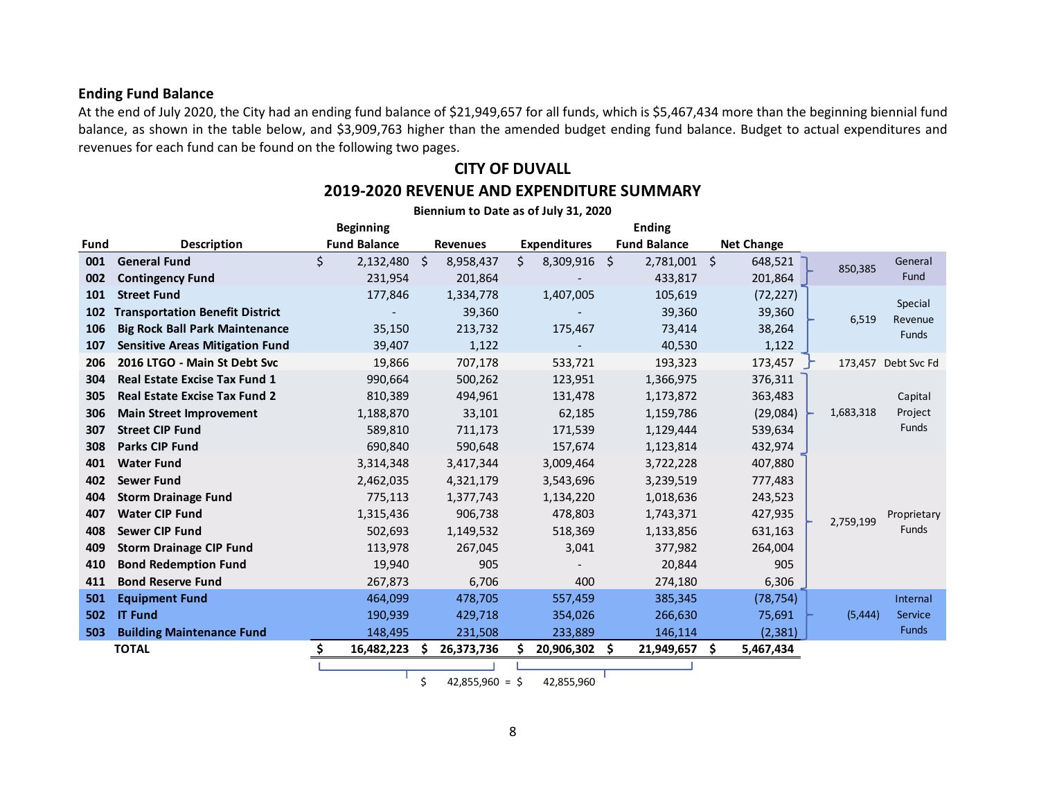#### **Ending Fund Balance**

At the end of July 2020, the City had an ending fund balance of \$21,949,657 for all funds, which is \$5,467,434 more than the beginning biennial fund balance, as shown in the table below, and \$3,909,763 higher than the amended budget ending fund balance. Budget to actual expenditures and revenues for each fund can be found on the following two pages.

# **CITY OF DUVALL**

### **2019-2020 REVENUE AND EXPENDITURE SUMMARY**

|             | Biennium to Date as of July 31, 2020   |                         |                            |                     |                     |                   |                          |  |  |
|-------------|----------------------------------------|-------------------------|----------------------------|---------------------|---------------------|-------------------|--------------------------|--|--|
|             |                                        | <b>Beginning</b>        |                            |                     | <b>Ending</b>       |                   |                          |  |  |
| <b>Fund</b> | <b>Description</b>                     | <b>Fund Balance</b>     | <b>Revenues</b>            | <b>Expenditures</b> | <b>Fund Balance</b> | <b>Net Change</b> |                          |  |  |
| 001         | <b>General Fund</b>                    | \$<br>- \$<br>2,132,480 | 8,958,437                  | Ś.<br>8,309,916 \$  | 2,781,001 \$        | 648,521           | General<br>850,385       |  |  |
| 002         | <b>Contingency Fund</b>                | 231,954                 | 201,864                    |                     | 433,817             | 201,864           | Fund                     |  |  |
| 101         | <b>Street Fund</b>                     | 177,846                 | 1,334,778                  | 1,407,005           | 105,619             | (72, 227)         | Special                  |  |  |
| 102         | <b>Transportation Benefit District</b> |                         | 39,360                     |                     | 39,360              | 39,360            | 6,519<br>Revenue         |  |  |
| 106         | <b>Big Rock Ball Park Maintenance</b>  | 35,150                  | 213,732                    | 175,467             | 73,414              | 38,264            | <b>Funds</b>             |  |  |
| 107         | <b>Sensitive Areas Mitigation Fund</b> | 39,407                  | 1,122                      |                     | 40,530              | 1,122             |                          |  |  |
| 206         | 2016 LTGO - Main St Debt Svc           | 19,866                  | 707,178                    | 533,721             | 193,323             | 173,457           | 173,457 Debt Svc Fd      |  |  |
| 304         | <b>Real Estate Excise Tax Fund 1</b>   | 990,664                 | 500,262                    | 123,951             | 1,366,975           | 376,311           |                          |  |  |
| 305         | <b>Real Estate Excise Tax Fund 2</b>   | 810,389                 | 494,961                    | 131,478             | 1,173,872           | 363,483           | Capital                  |  |  |
| 306         | <b>Main Street Improvement</b>         | 1,188,870               | 33,101                     | 62,185              | 1,159,786           | (29,084)          | 1,683,318<br>Project     |  |  |
| 307         | <b>Street CIP Fund</b>                 | 589,810                 | 711,173                    | 171,539             | 1,129,444           | 539,634           | Funds                    |  |  |
| 308         | <b>Parks CIP Fund</b>                  | 690,840                 | 590,648                    | 157,674             | 1,123,814           | 432,974           |                          |  |  |
| 401         | <b>Water Fund</b>                      | 3,314,348               | 3,417,344                  | 3,009,464           | 3,722,228           | 407,880           |                          |  |  |
| 402         | <b>Sewer Fund</b>                      | 2,462,035               | 4,321,179                  | 3,543,696           | 3,239,519           | 777,483           |                          |  |  |
| 404         | <b>Storm Drainage Fund</b>             | 775,113                 | 1,377,743                  | 1,134,220           | 1,018,636           | 243,523           |                          |  |  |
| 407         | <b>Water CIP Fund</b>                  | 1,315,436               | 906,738                    | 478,803             | 1,743,371           | 427,935           | Proprietary<br>2,759,199 |  |  |
| 408         | <b>Sewer CIP Fund</b>                  | 502,693                 | 1,149,532                  | 518,369             | 1,133,856           | 631,163           | <b>Funds</b>             |  |  |
| 409         | <b>Storm Drainage CIP Fund</b>         | 113,978                 | 267,045                    | 3,041               | 377,982             | 264,004           |                          |  |  |
| 410         | <b>Bond Redemption Fund</b>            | 19,940                  | 905                        |                     | 20,844              | 905               |                          |  |  |
| 411         | <b>Bond Reserve Fund</b>               | 267,873                 | 6,706                      | 400                 | 274,180             | 6,306             |                          |  |  |
| 501         | <b>Equipment Fund</b>                  | 464,099                 | 478,705                    | 557,459             | 385,345             | (78, 754)         | Internal                 |  |  |
| 502         | <b>IT Fund</b>                         | 190,939                 | 429,718                    | 354,026             | 266,630             | 75,691            | (5, 444)<br>Service      |  |  |
| 503         | <b>Building Maintenance Fund</b>       | 148,495                 | 231,508                    | 233,889             | 146,114             | (2, 381)          | <b>Funds</b>             |  |  |
|             | <b>TOTAL</b>                           | Ŝ.<br>16,482,223        | 26,373,736<br>S            | 20,906,302 \$       | 21,949,657          | 5,467,434<br>- Ś  |                          |  |  |
|             |                                        |                         | $\overline{a}$<br>12.05500 | 12.0550             |                     |                   |                          |  |  |

 $$ 42,855,960 = $ 42,855,960$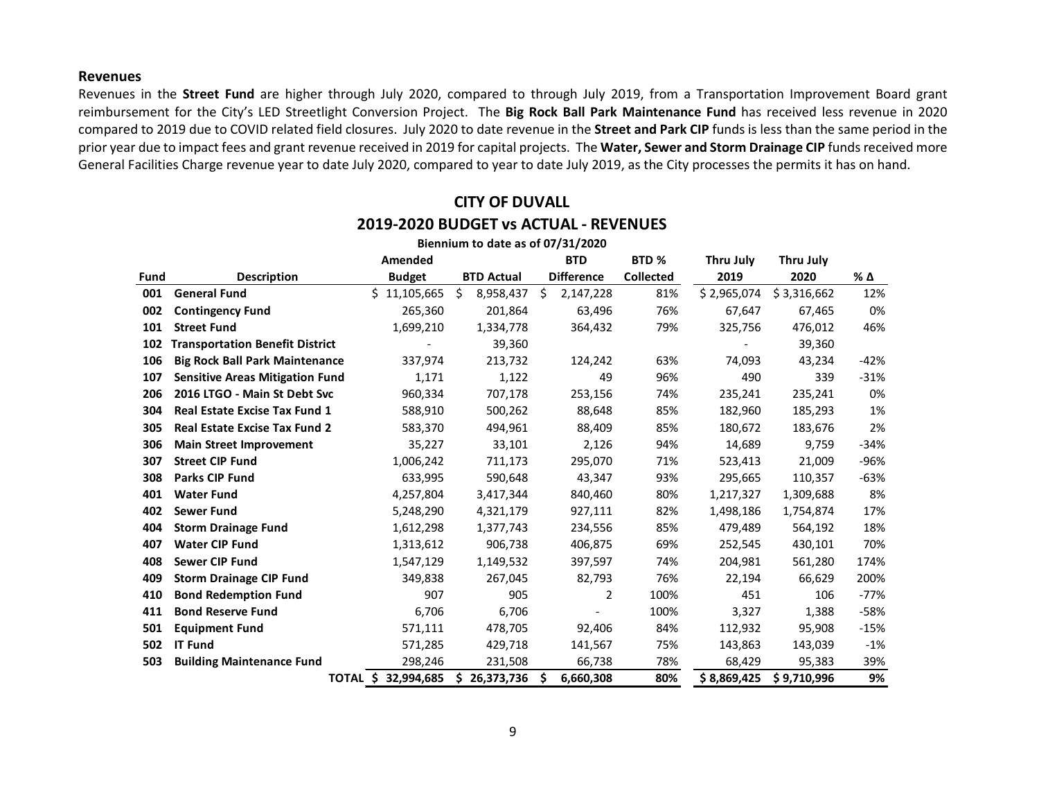#### **Revenues**

Revenues in the **Street Fund** are higher through July 2020, compared to through July 2019, from a Transportation Improvement Board grant reimbursement for the City's LED Streetlight Conversion Project. The **Big Rock Ball Park Maintenance Fund** has received less revenue in 2020 compared to 2019 due to COVID related field closures. July 2020 to date revenue in the **Street and Park CIP** funds is less than the same period in the prior year due to impact fees and grant revenue received in 2019 for capital projects. The **Water, Sewer and Storm Drainage CIP** funds received more General Facilities Charge revenue year to date July 2020, compared to year to date July 2019, as the City processes the permits it has on hand.

| Biennium to date as of 07/31/2020 |                                        |                        |    |                   |     |                   |                  |             |             |        |  |  |
|-----------------------------------|----------------------------------------|------------------------|----|-------------------|-----|-------------------|------------------|-------------|-------------|--------|--|--|
|                                   |                                        | Amended                |    |                   |     | <b>BTD</b>        | BTD <sub>%</sub> | Thru July   | Thru July   |        |  |  |
| Fund                              | <b>Description</b>                     | <b>Budget</b>          |    | <b>BTD Actual</b> |     | <b>Difference</b> | <b>Collected</b> | 2019        | 2020        | % Δ    |  |  |
| 001                               | <b>General Fund</b>                    | \$11,105,665           | \$ | 8,958,437         | \$. | 2,147,228         | 81%              | \$2,965,074 | \$3,316,662 | 12%    |  |  |
| 002                               | <b>Contingency Fund</b>                | 265,360                |    | 201,864           |     | 63,496            | 76%              | 67,647      | 67,465      | 0%     |  |  |
| 101                               | <b>Street Fund</b>                     | 1,699,210              |    | 1,334,778         |     | 364,432           | 79%              | 325,756     | 476,012     | 46%    |  |  |
| 102                               | <b>Transportation Benefit District</b> |                        |    | 39,360            |     |                   |                  |             | 39,360      |        |  |  |
| 106                               | <b>Big Rock Ball Park Maintenance</b>  | 337,974                |    | 213,732           |     | 124,242           | 63%              | 74,093      | 43,234      | -42%   |  |  |
| 107                               | <b>Sensitive Areas Mitigation Fund</b> | 1,171                  |    | 1,122             |     | 49                | 96%              | 490         | 339         | $-31%$ |  |  |
| 206                               | 2016 LTGO - Main St Debt Svc           | 960,334                |    | 707,178           |     | 253,156           | 74%              | 235,241     | 235,241     | 0%     |  |  |
| 304                               | <b>Real Estate Excise Tax Fund 1</b>   | 588,910                |    | 500,262           |     | 88,648            | 85%              | 182,960     | 185,293     | 1%     |  |  |
| 305                               | <b>Real Estate Excise Tax Fund 2</b>   | 583,370                |    | 494,961           |     | 88,409            | 85%              | 180,672     | 183,676     | 2%     |  |  |
| 306                               | <b>Main Street Improvement</b>         | 35,227                 |    | 33,101            |     | 2,126             | 94%              | 14,689      | 9,759       | -34%   |  |  |
| 307                               | <b>Street CIP Fund</b>                 | 1,006,242              |    | 711,173           |     | 295,070           | 71%              | 523,413     | 21,009      | -96%   |  |  |
| 308                               | <b>Parks CIP Fund</b>                  | 633,995                |    | 590,648           |     | 43,347            | 93%              | 295,665     | 110,357     | -63%   |  |  |
| 401                               | <b>Water Fund</b>                      | 4,257,804              |    | 3,417,344         |     | 840,460           | 80%              | 1,217,327   | 1,309,688   | 8%     |  |  |
| 402                               | <b>Sewer Fund</b>                      | 5,248,290              |    | 4,321,179         |     | 927,111           | 82%              | 1,498,186   | 1,754,874   | 17%    |  |  |
| 404                               | <b>Storm Drainage Fund</b>             | 1,612,298              |    | 1,377,743         |     | 234,556           | 85%              | 479,489     | 564,192     | 18%    |  |  |
| 407                               | <b>Water CIP Fund</b>                  | 1,313,612              |    | 906,738           |     | 406,875           | 69%              | 252,545     | 430,101     | 70%    |  |  |
| 408                               | <b>Sewer CIP Fund</b>                  | 1,547,129              |    | 1,149,532         |     | 397,597           | 74%              | 204,981     | 561,280     | 174%   |  |  |
| 409                               | <b>Storm Drainage CIP Fund</b>         | 349,838                |    | 267,045           |     | 82,793            | 76%              | 22,194      | 66,629      | 200%   |  |  |
| 410                               | <b>Bond Redemption Fund</b>            | 907                    |    | 905               |     | 2                 | 100%             | 451         | 106         | $-77%$ |  |  |
| 411                               | <b>Bond Reserve Fund</b>               | 6,706                  |    | 6,706             |     |                   | 100%             | 3,327       | 1,388       | -58%   |  |  |
| 501                               | <b>Equipment Fund</b>                  | 571,111                |    | 478,705           |     | 92,406            | 84%              | 112,932     | 95,908      | $-15%$ |  |  |
| 502                               | <b>IT Fund</b>                         | 571,285                |    | 429,718           |     | 141,567           | 75%              | 143,863     | 143,039     | $-1%$  |  |  |
| 503                               | <b>Building Maintenance Fund</b>       | 298,246                |    | 231,508           |     | 66,738            | 78%              | 68,429      | 95,383      | 39%    |  |  |
|                                   |                                        | TOTAL \$<br>32,994,685 | S  | 26,373,736        | S   | 6,660,308         | 80%              | \$8,869,425 | \$9,710,996 | 9%     |  |  |

### **CITY OF DUVALL 2019-2020 BUDGET vs ACTUAL - REVENUES**